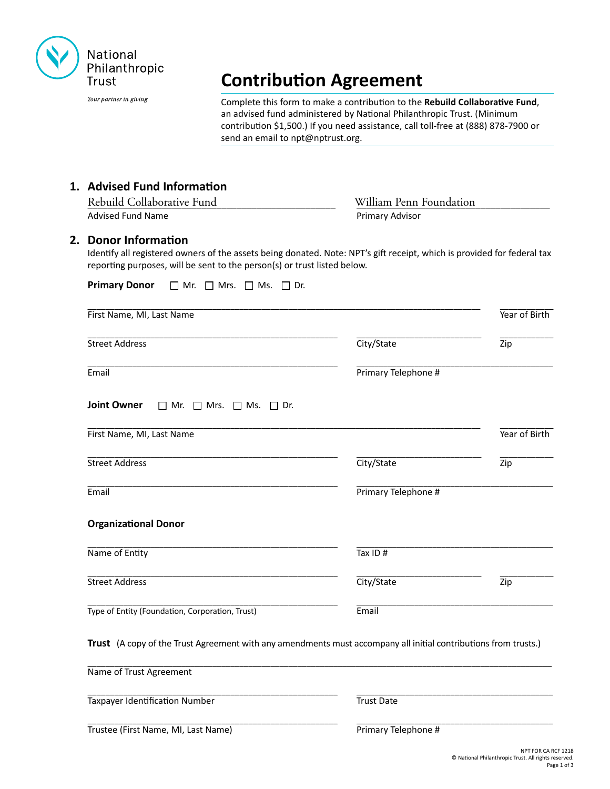

Your partner in giving

# **Contribution Agreement**

Complete this form to make a contribution to the **Rebuild Collaborative Fund**, an advised fund administered by National Philanthropic Trust. (Minimum contribution \$1,500.) If you need assistance, call toll-free at (888) 878-7900 or send an email to npt@nptrust.org.

# **1. Advised Fund Information**

| Rebuild Collaborative Fund | William Penn Foundation |
|----------------------------|-------------------------|
| Advised Fund Name          | <b>Primary Advisor</b>  |

#### **2. Donor Information**

Identify all registered owners of the assets being donated. Note: NPT's gift receipt, which is provided for federal tax reporting purposes, will be sent to the person(s) or trust listed below.

| <b>Primary Donor</b><br>$\Box$ Mr. $\Box$ Mrs. $\Box$ Ms.<br>$\Box$ Dr.                                         |                     |                  |
|-----------------------------------------------------------------------------------------------------------------|---------------------|------------------|
| First Name, MI, Last Name                                                                                       |                     | Year of Birth    |
| <b>Street Address</b>                                                                                           | City/State          | $\overline{Zip}$ |
| Email                                                                                                           | Primary Telephone # |                  |
| <b>Joint Owner</b><br>$\Box$ Mr.<br>$\Box$ Mrs. $\Box$ Ms. $\Box$ Dr.                                           |                     |                  |
| First Name, MI, Last Name                                                                                       |                     | Year of Birth    |
| <b>Street Address</b>                                                                                           | City/State          | $\overline{Zip}$ |
| Email                                                                                                           | Primary Telephone # |                  |
| <b>Organizational Donor</b>                                                                                     |                     |                  |
| Name of Entity                                                                                                  | Tax ID#             |                  |
| <b>Street Address</b>                                                                                           | City/State          | $\overline{Zip}$ |
| Type of Entity (Foundation, Corporation, Trust)                                                                 | Email               |                  |
| Trust (A copy of the Trust Agreement with any amendments must accompany all initial contributions from trusts.) |                     |                  |
| Name of Trust Agreement                                                                                         |                     |                  |
| <b>Taxpayer Identification Number</b>                                                                           | <b>Trust Date</b>   |                  |
| Trustee (First Name, MI, Last Name)                                                                             | Primary Telephone # |                  |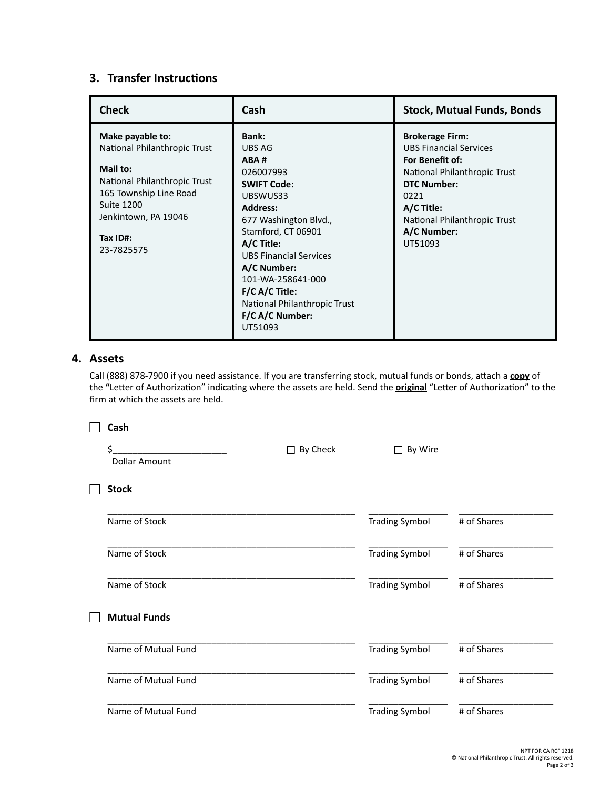# **3. Transfer Instructions**

| <b>Check</b>                                                                                                                                                                           | Cash                                                                                                                                                                                                                                                                                                               | <b>Stock, Mutual Funds, Bonds</b>                                                                                                                                                                                |
|----------------------------------------------------------------------------------------------------------------------------------------------------------------------------------------|--------------------------------------------------------------------------------------------------------------------------------------------------------------------------------------------------------------------------------------------------------------------------------------------------------------------|------------------------------------------------------------------------------------------------------------------------------------------------------------------------------------------------------------------|
| Make payable to:<br>National Philanthropic Trust<br>Mail to:<br>National Philanthropic Trust<br>165 Township Line Road<br>Suite 1200<br>Jenkintown, PA 19046<br>Tax ID#:<br>23-7825575 | <b>Bank:</b><br>UBS AG<br>ABA#<br>026007993<br><b>SWIFT Code:</b><br>UBSWUS33<br><b>Address:</b><br>677 Washington Blvd.,<br>Stamford, CT 06901<br>A/C Title:<br><b>UBS Financial Services</b><br>A/C Number:<br>101-WA-258641-000<br>F/C A/C Title:<br>National Philanthropic Trust<br>F/C A/C Number:<br>UT51093 | <b>Brokerage Firm:</b><br><b>UBS Financial Services</b><br>For Benefit of:<br>National Philanthropic Trust<br><b>DTC Number:</b><br>0221<br>A/C Title:<br>National Philanthropic Trust<br>A/C Number:<br>UT51093 |

# **4. Assets**

Call (888) 878-7900 if you need assistance. If you are transferring stock, mutual funds or bonds, attach a **copy** of the **"**Letter of Authorization" indicating where the assets are held. Send the **original** "Letter of Authorization" to the firm at which the assets are held.

| Cash                      |                     |                         |             |
|---------------------------|---------------------|-------------------------|-------------|
| Ś<br><b>Dollar Amount</b> | By Check<br>$\perp$ | By Wire<br>$\mathsf{I}$ |             |
| <b>Stock</b>              |                     |                         |             |
| Name of Stock             |                     | <b>Trading Symbol</b>   | # of Shares |
| Name of Stock             |                     | <b>Trading Symbol</b>   | # of Shares |
| Name of Stock             |                     | <b>Trading Symbol</b>   | # of Shares |
| <b>Mutual Funds</b>       |                     |                         |             |
| Name of Mutual Fund       |                     | <b>Trading Symbol</b>   | # of Shares |
| Name of Mutual Fund       |                     | <b>Trading Symbol</b>   | # of Shares |
| Name of Mutual Fund       |                     | <b>Trading Symbol</b>   | # of Shares |